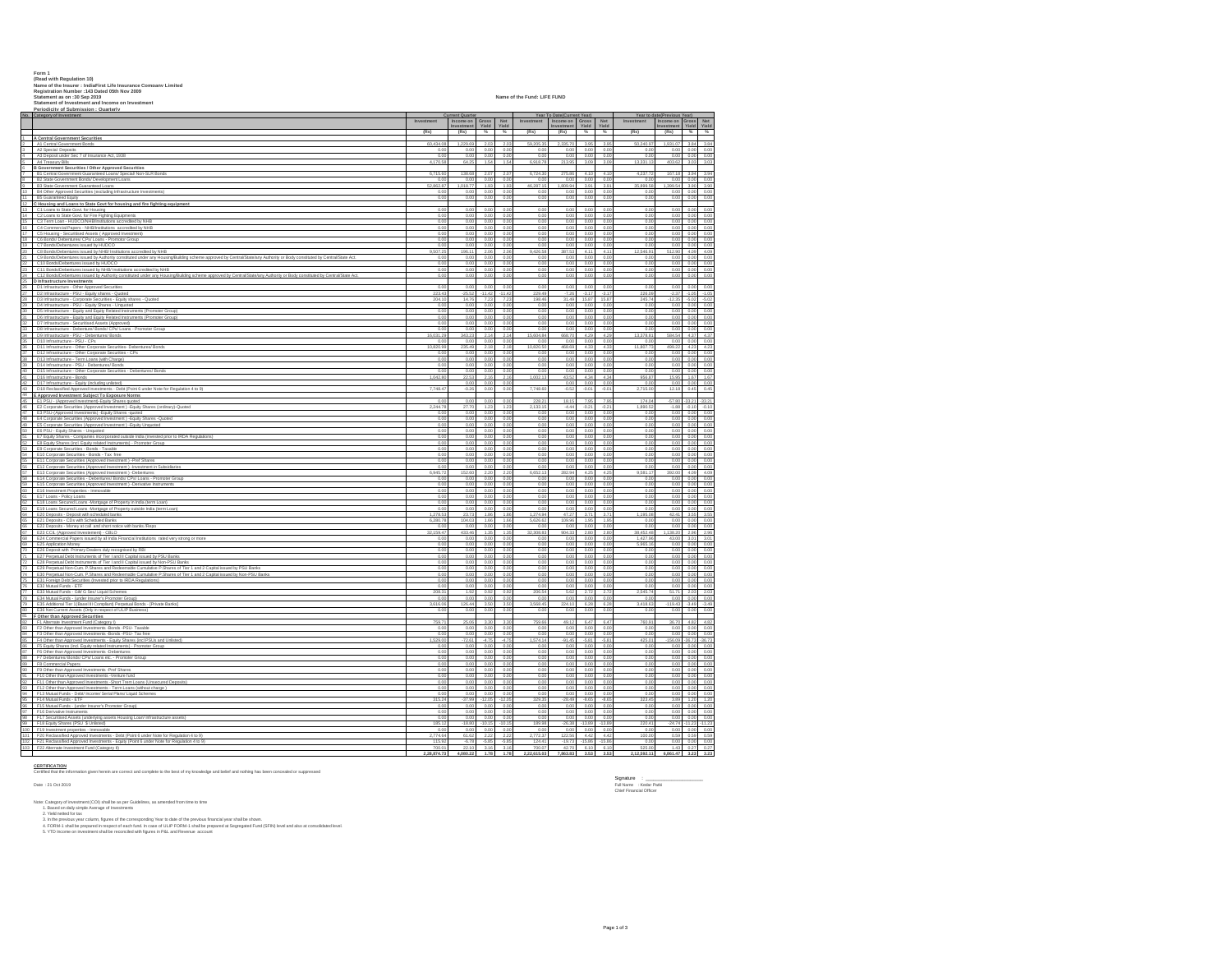Form 1<br>Read vith Requision 101<br>Read vith Requision 101<br>Read vith Requision 11 (19) Stated 05th Nov 2009<br>Statement of hyversimes included the Vita<br>Statement of hyversimes included the Fundal Direct Statement<br>Periodicity of

**No. Category of Investment Investment Investment Gross Yield Net Yield Investment Income on Investment Gross Yield Net Yield Investment In Investment** Yield Yield **(Rs) (Rs) % % (Rs) (Rs) % % (Rs) (Rs) % %** 1 **A Central Government Securities** 2 A1 Central Government Bonds 60,434.08 1,229.69 2.03 2.03 59,205.35 2,335.70 3.95 3.95 50,240.97 1,931.07 3.84 3.84 3 A2 Special Deposits 0.00 0.00 0.00 0.00 0.00 0.00 0.00 0.00 0.00 0.00 0.00 0.00 4 A3 Deposit under Sec 7 of Insurance Act, 1938 0.00 0.00 0.00 0.00 0.00 0.00 0.00 0.00 0.00 0.00 0.00 0.00 5 A4 Treasury Bills 4,170.58 64.25 1.54 1.54 6,918.78 213.95 3.09 3.09 13,331.13 403.62 3.03 3.03 6 **B Government Securities / Other Approved Securities** 7 B1 Central Government Guaranteed Loans/ Special/ Non-SLR Bonds 6,715.60 138.68 2.07 2.07 6,724.30 275.86 4.10 4.10 4,237.72 167.18 3.94 3.94 8 B2 State Government Bonds/ Development Loans 0.00 0.00 0.00 0.00 0.00 0.00 0.00 0.00 0.00 0.00 0.00 0.00 9 B3 State Government Guaranteed Loans 52,862.87 1,018.77 1.93 1.93 46,287.15 1,809.94 3.91 3.91 35,899.58 1,399.54 3.90 3.90 10 B4 Other Approved Securities (excluding Infrastructure Investments) 0.00 0.00 0.00 0.00 0.00 0.00 0.00 0.00 0.00 0.00 0.00 0.00 11 B5 Guaranteed Equity 0.00 0.00 0.00 0.00 0.00 0.00 0.00 0.00 0.00 0.00 0.00 0.00 12 **C Housing and Loans to State Govt for housing and fire fighting equipment** 13 C1 Loans to State Govt. for Housing 0.00 0.00 0.00 0.00 0.00 0.00 0.00 0.00 0.00 0.00 0.00 0.00 14 C2 Loans to State Govt. for Fire Fighting Equipments 0.00 0.00 0.00 0.00 0.00 0.00 0.00 0.00 0.00 0.00 0.00 0.00 15 C3 Term Loan - HUDCO/NHB/Institutions accredited by NHB 0.00 0.00 0.00 0.00 0.00 0.00 0.00 0.00 0.00 0.00 0.00 0.00 16 C4 Commercial Papers - NHB/Institutions accredited by NHB 0.00 0.00 0.00 0.00 0.00 0.00 0.00 0.00 0.00 0.00 0.00 0.00 17 C5 Housing - Securitised Assets ( Approved Investment) 0.00 0.00 0.00 0.00 0.00 0.00 0.00 0.00 0.00 0.00 0.00 0.00 18 C6 Bonds/ Debentures/ CPs/ Loans - Promotor Group 0.00 0.00 0.00 0.00 0.00 0.00 0.00 0.00 0.00 0.00 0.00 0.00 19 C7 Bonds/Debentures issued by HUDCO 0.00 0.00 0.00 0.00 0.00 0.00 0.00 0.00 0.00 0.00 0.00 0.00 20 C8 Bonds/Debentures issued by NHB/ Institutions accredited by NHB 9,507.25 196.11 2.06 2.06 9,426.58 387.53 4.11 4.11 12,546.91 512.90 4.09 4.09 21 C9 Bonds/Debentures issued by Authority constituted under any Housing/Building scheme approved by Central/State/any Authority or Body constituted by Central/State Act. 0.00 0.00 0.00 0.00 0.00 0.00 0.00 0.00 0.00 0.00 0.00 0.00 22 C10 Bonds/Debentures issued by HUDCO 0.00 0.00 0.00 0.00 0.00 0.00 0.00 0.00 0.00 0.00 0.00 0.00 23 C11 Bonds/Debentures issued by NHB/ Institutions accredited by NHB 0.00 0.00 0.00 0.00 0.00 0.00 0.00 0.00 0.00 0.00 0.00 0.00 24 C12 Bonds/Debentures issued by Authority constituted under any Housing/Building scheme approved by Central/State/any Authority or Body constituted by Central/State Act. 0.00 0.00 0.00 0.00 0.00 0.00 0.00 0.00 0.00 0.00 0.00 0.00 25 **D Infrastructure Investments** 26 D1 Infrastructure - Other Approved Securities 0.00 0.00 0.00 0.00 0.00 0.00 0.00 0.00 0.00 0.00 0.00 0.00 27 D2 Infrastructure - PSU - Equity shares - Quoted 223.43 -25.52 -11.42 -11.42 229.49 -7.26 -3.17 -3.17 226.09 -2.37 -1.05 -1.05 28 D3 Infrastructure - Corporate Securities - Equity shares - Quoted 204.10 14.76 7.23 7.23 198.46 31.49 15.87 15.87 245.74 -12.35 -5.02 -5.02 29 D4 Infrastructure - PSU - Equity Shares - Unquoted 0.00 0.00 0.00 0.00 0.00 0.00 0.00 0.00 0.00 0.00 0.00 0.00 30 D5 Infrastructure - Equity and Equity Related Instruments (Promoter Group) 0.00 0.00 0.00 0.00 0.00 0.00 0.00 0.00 0.00 0.00 0.00 0.00 31 D6 Infrastructure - Equity and Equity Related Instruments (Promoter Group) 0.00 0.00 0.00 0.00 0.00 0.00 0.00 0.00 0.00 0.00 0.00 0.00 32 D7 Infrastructure - Securitised Assets (Approved) 0.00 0.00 0.00 0.00 0.00 0.00 0.00 0.00 0.00 0.00 0.00 0.00 33 D8 Infrastructure - Debenture/ Bonds/ CPs/ Loans - Promoter Group 0.00 0.00 0.00 0.00 0.00 0.00 0.00 0.00 0.00 0.00 0.00 0.00 34 D9 Infrastructure - PSU - Debentures/ Bonds 16,031.29 343.23 2.14 2.14 15,604.84 668.70 4.29 4.29 13,378.81 584.54 4.37 4.37 35 D10 Infrastructure - PSU - CPs 0.00 0.00 0.00 0.00 0.00 0.00 0.00 0.00 0.00 0.00 0.00 0.00 36 D11 Infrastructure - Other Corporate Securities- Debentures/ Bonds 10,820.99 235.49 2.18 2.18 10,820.50 468.69 4.33 4.33 11,807.73 499.22 4.23 4.23 37 D12 Infrastructure - Other Corporate Securities - CPs 0.00 0.00 0.00 0.00 0.00 0.00 0.00 0.00 0.00 0.00 0.00 0.00 38 D13 Infrastructure - Term Loans (with Charge) 0.00 0.00 0.00 0.00 0.00 0.00 0.00 0.00 0.00 0.00 0.00 0.00 39 D14 Infrastructure - PSU - Debentures/ Bonds 0.00 0.00 0.00 0.00 0.00 0.00 0.00 0.00 0.00 0.00 0.00 0.00 40 D15 Infrastructure - Other Corporate Securities - Debentures/ Bonds 0.00 0.00 0.00 0.00 0.00 0.00 0.00 0.00 0.00 0.00 0.00 0.00 41 D16 Infrastructure - Bonds 1,042.80 22.53 2.16 2.16 1,002.13 43.52 4.34 4.34 956.87 15.95 1.67 1.67 42 D17 Infrastructure - Equity (including unlisted) 0.00 0.00 0.00 0.00 0.00 0.00 0.00 0.00 0.00 0.00 43 D18 Reclassified Approved Investments - Debt (Point 6 under Note for Regulation 4 to 9) 7,748.47 -0.26 0.00 0.00 7,748.60 -0.52 -0.01 -0.01 2,715.00 12.18 0.45 0.45 44 **E Approved Investment Subject To Exposure Norms** 45 E1 PSU - (Approved Investment)-Equity Shares quoted 0.00 0.00 0.00 0.00 228.21 18.15 7.95 7.95 174.04 -57.80 -33.21 -33.21 46 E2 Corporate Securities (Approved Investment ) -Equity Shares (ordinary)-Quoted 2,244.78 27.70 1.23 1.23 2,133.15 -4.44 -0.21 -0.21 1,890.52 -1.88 -0.10 -0.10 47 E3 PSU-(Approved Investments) -Equity Shares -quoted 0.00 0.00 0.00 0.00 0.00 0.00 0.00 0.00 0.00 0.00 0.00 0.00 48 E4 Corporate Securities (Approved Investment ) -Equity Shares -Quoted 0.00 0.00 0.00 0.00 0.00 0.00 0.00 0.00 0.00 0.00 0.00 0.00 49 E5 Corporate Securities (Approved Investment ) -Equity Unquoted 0.00 0.00 0.00 0.00 0.00 0.00 0.00 0.00 0.00 0.00 0.00 0.00 50 E6 PSU - Equity Shares - Unquoted 0.00 0.00 0.00 0.00 0.00 0.00 0.00 0.00 0.00 0.00 0.00 0.00 51 E7 Equity Shares - Companies incorporated outside India (invested prior to IRDA Regulations) 0.00 0.00 0.00 0.00 0.00 0.00 0.00 0.00 0.00 0.00 0.00 0.00 52 E8 Equity Shares (incl. Equity related Instruments) - Promoter Group 0.00 0.00 0.00 0.00 0.00 0.00 0.00 0.00 0.00 0.00 0.00 0.00 53 E9 Corporate Securities - Bonds - Taxable 0.00 0.00 0.00 0.00 0.00 0.00 0.00 0.00 0.00 0.00 0.00 0.00 54 E10 Corporate Securities - Bonds - Tax free 0.00 0.00 0.00 0.00 0.00 0.00 0.00 0.00 0.00 0.00 0.00 0.00 55 E11 Corporate Securities (Approved Investment ) -Pref Shares 0.00 0.00 0.00 0.00 0.00 0.00 0.00 0.00 0.00 0.00 0.00 0.00 56 E12 Corporate Securities (Approved Investment ) -Investment in Subsidiaries 0.00 0.00 0.00 0.00 0.00 0.00 0.00 0.00 0.00 0.00 0.00 0.00 57 E13 Corporate Securities (Approved Investment ) -Debentures 6,945.72 152.60 2.20 2.20 6,652.13 282.94 4.25 4.25 9,581.17 392.00 4.09 4.09 58 E14 Corporate Securities - Debentures/ Bonds/ CPs/ Loans - Promoter Group 0.00 0.00 0.00 0.00 0.00 0.00 0.00 0.00 0.00 0.00 0.00 0.00 59 E15 Corporate Securities (Approved Investment ) -Derivative Instruments 0.00 0.00 0.00 0.00 0.00 0.00 0.00 0.00 0.00 0.00 0.00 0.00 60 E16 Investment Properties - Immovable 0.00 0.00 0.00 0.00 0.00 0.00 0.00 0.00 0.00 0.00 0.00 0.00 61 E17 Loans - Policy Loans 0.00 0.00 0.00 0.00 0.00 0.00 0.00 0.00 0.00 0.00 0.00 0.00 62 E18 Loans Secured Loans -Mortgage of Property in India (term Loan) 0.00 0.00 0.00 0.00 0.00 0.00 0.00 0.00 0.00 0.00 0.00 0.00 63 E19 Loans Secured Loans -Mortgage of Property outside India (term Loan) 0.00 0.00 0.00 0.00 0.00 0.00 0.00 0.00 0.00 0.00 0.00 0.00 64 E20 Deposits - Deposit with scheduled banks 1,278.53 23.73 1.86 1.86 1,274.94 47.27 3.71 3.71 1,195.08 42.41 3.55 3.55 65 E21 Deposits - CDs with Scheduled Banks 6,280.78 104.03 1.66 1.66 5,626.62 109.96 1.95 1.95 0.00 0.00 0.00 0.00 66 E22 Deposits - Money at call and short notice with banks /Repo 0.00 0.00 0.00 0.00 0.00 0.00 0.00 0.00 0.00 0.00 0.00 0.00 67 E23 CCIL (Approved Investement) - CBLO 32,159.47 433.46 1.35 1.35 32,308.83 904.33 2.80 2.80 38,452.48 1,138.20 2.96 2.96 68 E24 Commercial Papers issued by all India Financial Institutions rated very strong or more 0.00 0.00 0.00 0.00 0.00 0.00 0.00 0.00 1,427.96 43.00 3.01 3.01 69 E25 Application Money 0.00 0.00 0.00 0.00 0.00 0.00 0.00 0.00 5,965.16 0.00 0.00 0.00 70 E26 Deposit with Primary Dealers duly recognised by RBI 0.00 0.00 0.00 0.00 0.00 0.00 0.00 0.00 0.00 0.00 0.00 0.00 71 E27 Perpetual Debt Instruments of Tier I and II Capital issued by PSU Banks 0.00 0.00 0.00 0.00 0.00 0.00 0.00 0.00 0.00 0.00 0.00 0.00 72 E28 Perpetual Debt Instruments of Tier I and II Capital issued by Non-PSU Banks 0.00 0.00 0.00 0.00 0.00 0.00 0.00 0.00 0.00 0.00 0.00 0.00 73 E29 Perpetual Non-Cum. P.Shares and Redeemable Cumulative P.Shares of Tier 1 and 2 Capital issued by PSU Banks 0.00 0.00 0.00 0.00 0.00 0.00 0.00 0.00 0.00 0.00 0.00 0.00 74 E30 Perpetual Non-Cum. P.Shares and Redeemable Cumulative P.Shares of Tier 1 and 2 Capital issued by Non-PSU Banks 0.00 0.00 0.00 0.00 0.00 0.00 0.00 0.00 0.00 0.00 0.00 0.00 75 E31 Foreign Debt Securities (Invested prior to IRDA Regulations) 0.00 0.00 0.00 0.00 0.00 0.00 0.00 0.00 0.00 0.00 0.00 0.00 76 E32 Mutual Funds - ETF 0.00 0.00 0.00 0.00 0.00 0.00 0.00 0.00 0.00 0.00 0.00 0.00 77 E33 Mutual Funds - Gilt/ G Sec/ Liquid Schemes 208.31 1.92 0.92 0.92 206.54 5.62 2.72 2.72 2,545.74 51.71 2.03 2.03 78 E34 Mutual Funds - (under Insurer's Promoter Group) 0.00 0.00 0.00 0.00 0.00 0.00 0.00 0.00 0.00 0.00 0.00 0.00 79 E35 Additional Tier 1(Basel III Compliant) Perpetual Bonds - [Private Banks] 3,616.06 126.44 3.50 3.50 3,568.45 224.10 6.28 6.28 3,418.63 -119.43 -3.49 -3.49 80 E36 Net Current Assets (Only in respect of ULIP Business) 0.00 0.00 0.00 0.00 0.00 0.00 0.00 0.00 0.00 0.00 0.00 0.00 81 **F Other than Approved Securities** 82 F1 Alternate Investment Fund (Category I) 759.71 25.06 3.30 3.30 759.66 49.12 6.47 6.47 760.91 36.70 4.82 4.82 83 F2 Other than Approved Investments -Bonds -PSU- Taxable 0.00 0.00 0.00 0.00 0.00 0.00 0.00 0.00 0.00 0.00 0.00 0.00 84 F3 Other than Approved Investments -Bonds -PSU- Tax free 0.00 0.00 0.00 0.00 0.00 0.00 0.00 0.00 0.00 0.00 0.00 0.00 85 F4 Other than Approved Investments - Equity Shares (incl PSUs and Unlisted) 1,529.00 -72.61 -4.75 -4.75 1,574.14 -91.45 -5.81 -5.81 425.01 -156.09 -36.73 -36.73 86 F5 Equity Shares (incl. Equity related Instruments) - Promoter Group 0.00 0.00 0.00 0.00 0.00 0.00 0.00 0.00 0.00 0.00 0.00 0.00 87 F6 Other than Approved Investments -Debentures 0.00 0.00 0.00 0.00 0.00 0.00 0.00 0.00 0.00 0.00 0.00 0.00 88 F7 Debentures/ Bonds/ CPs/ Loans etc. - Promoter Group 0.00 0.00 0.00 0.00 0.00 0.00 0.00 0.00 0.00 0.00 0.00 0.00 89 F8 Commercial Papers 0.00 0.00 0.00 0.00 0.00 0.00 0.00 0.00 0.00 0.00 0.00 0.00 90 F9 Other than Approved Investments -Pref Shares 0.00 0.00 0.00 0.00 0.00 0.00 0.00 0.00 0.00 0.00 0.00 0.00 91 F10 Other than Approved Investments -Venture fund 0.00 0.00 0.00 0.00 0.00 0.00 0.00 0.00 0.00 0.00 0.00 0.00 92 F11 Other than Approved Investments -Short Trem Loans (Unsecured Deposits) 0.00 0.00 0.00 0.00 0.00 0.00 0.00 0.00 0.00 0.00 0.00 0.00 93 F12 Other than Approved Investments - Term Loans (without charge ) 0.00 0.00 0.00 0.00 0.00 0.00 0.00 0.00 0.00 0.00 0.00 0.00 94 F13 Mutual Funds - Debt/ Income/ Serial Plans/ Liquid Schemes 0.00 0.00 0.00 0.00 0.00 0.00 0.00 0.00 0.00 0.00 0.00 0.00 95 F14 Mutual Funds - ETF 315.24 -37.99 -12.05 -12.05 329.35 -28.49 -8.65 -8.65 323.45 3.89 1.20 1.20 96 F15 Mutual Funds - (under Insurer's Promoter Group) 0.00 0.00 0.00 0.00 0.00 0.00 0.00 0.00 0.00 0.00 0.00 0.00 97 F16 Derivative Instruments 0.00 0.00 0.00 0.00 0.00 0.00 0.00 0.00 0.00 0.00 0.00 0.00 98 F17 Securitised Assets (underlying assets Housing Loan/ Infrastructure assets) 0.00 0.00 0.00 0.00 0.00 0.00 0.00 0.00 0.00 0.00 0.00 0.00 99 F18 Equity Shares (PSU \$ Unlisted) 185.12 -18.80 -10.15 -10.15 189.98 -26.38 -13.89 -13.89 220.41 -24.74 -11.23 -11.23 100 F19 Investment properties - Immovable 0.00 0.00 0.00 0.00 0.00 0.00 0.00 0.00 0.00 0.00 0.00 0.00 101 F20 Reclassified Approved Investments - Debt (Point 6 under Note for Regulation 4 to 9) 2,774.64 61.62 2.22 2.22 2,772.37 122.56 4.42 4.42 100.00 0.59 0.59 0.59 102 F21 Reclassified Approved Investments - Equity (Point 6 under Note for Regulation 4 to 9) 115.92 -6.78 -5.85 -5.85 124.41 -19.73 -15.86 -15.86 0.00 0.00 0.00 0.00 103 F22 Alternate Investment Fund (Category II) 700.01 22.10 3.16 3.16 700.07 42.70 6.10 6.10 525.00 1.43 0.27 0.27 **2,28,874.73 4,080.22 1.78 1.78 2,22,615.03 7,863.83 3.53 3.53 2,12,592.11 6,861.47 3.23 3.23 Current Quarter Year To Date(Current Year) Year to date(Previous Year)**

Date : 21 Oct 2019 Full Name : Kedar Patki

**CERTIFICATION**<br>Certified that the info

mation given herein are correct and complete to the best of my knowledge and belief and nothing has been concealed or suppressed

Note: Categoy of meetinent (CD) shall be as per Guidelines, as amended from time to time<br>2. 1. Bataed on daily simple Average of the corresponding Year to date of the previous financial year shall be<br>3. In the previous yea

Signature :<br>Full Name : Kedar Patki<br>Chief Financial Officer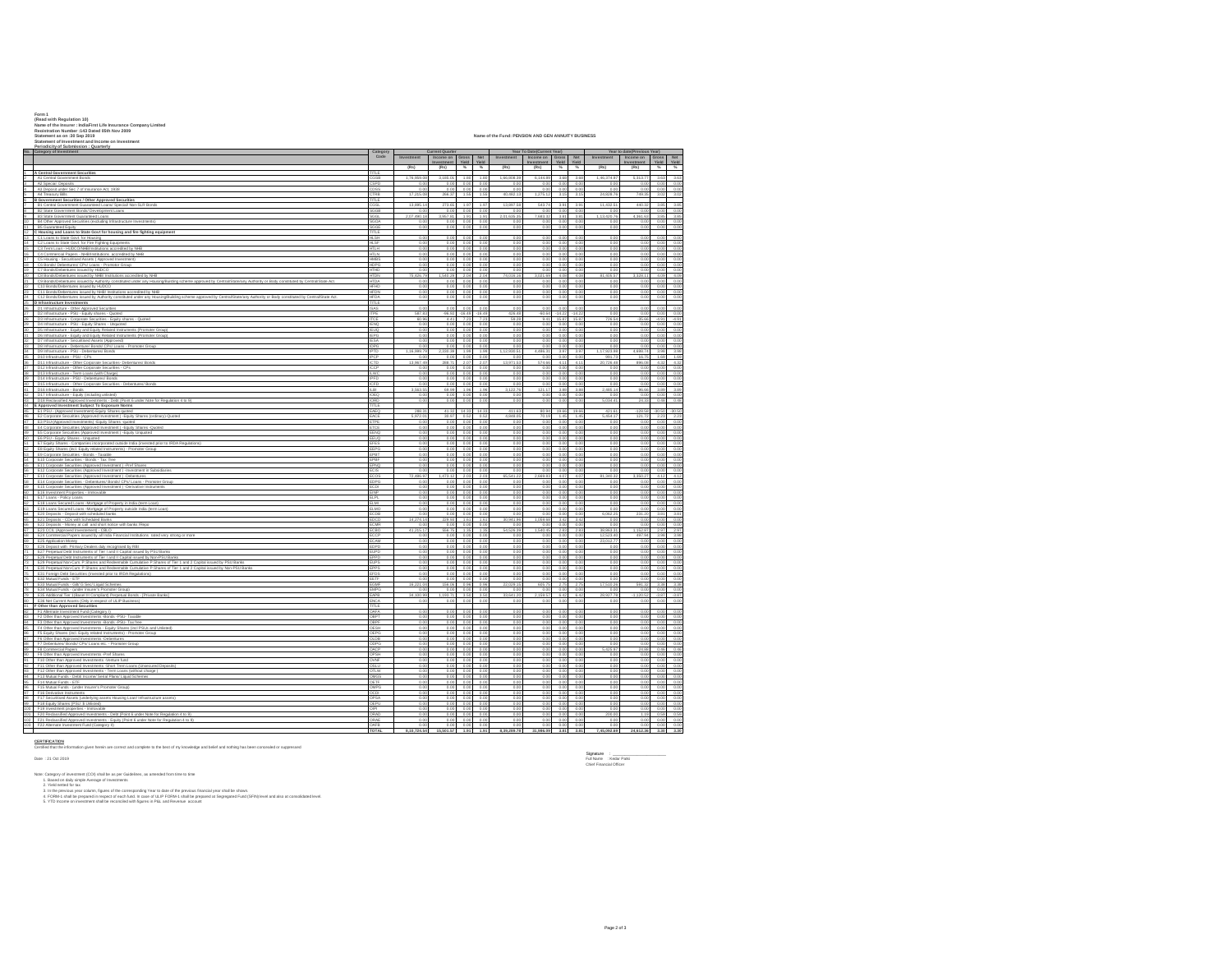|            | Form 1<br>(Read with Regulation 10)<br>Name of the Insurer · IndiaFirst I ife Insurance Company I imited                                                                                                                                                                                                                                                                                                                                                                                                                                                 |                                                    |                           |                                    |                              |                           |                           |                                 |                                               |                      |                           |                                        |                                         |                                |  |
|------------|----------------------------------------------------------------------------------------------------------------------------------------------------------------------------------------------------------------------------------------------------------------------------------------------------------------------------------------------------------------------------------------------------------------------------------------------------------------------------------------------------------------------------------------------------------|----------------------------------------------------|---------------------------|------------------------------------|------------------------------|---------------------------|---------------------------|---------------------------------|-----------------------------------------------|----------------------|---------------------------|----------------------------------------|-----------------------------------------|--------------------------------|--|
|            | Realstration Number : 143 Dated 05th Nov 2009<br>Statement as on :30 Sep 2019<br>Statement of Investment and Income on Investment                                                                                                                                                                                                                                                                                                                                                                                                                        | Name of the Fund: PENSION AND GEN ANNUITY BUSINESS |                           |                                    |                              |                           |                           |                                 |                                               |                      |                           |                                        |                                         |                                |  |
|            | Periodicity of Submission : Quarterly<br>No. Category of Investment                                                                                                                                                                                                                                                                                                                                                                                                                                                                                      | ttegor<br>Code                                     | Investment                | urrent Quarte                      | Gross                        | Not                       | <b>Investment</b>         | Year To Date(Current Year)      |                                               | Not                  |                           | Year to date(Previous Year)            |                                         |                                |  |
|            |                                                                                                                                                                                                                                                                                                                                                                                                                                                                                                                                                          |                                                    | (Rs)                      | Income on<br>(Rs)                  | Yield<br>$\sim$ $\sim$       | Yield                     | (Rs)                      | Income on<br>Investment<br>(Rs) | Gross<br>Yield<br>$\frac{1}{2}$ $\frac{1}{2}$ | Yield                | Investment<br>(Re)        | Income on<br><b>Investment</b><br>(Rs) | Gross Net                               | $N = N$                        |  |
|            | $\begin{tabular}{c c c} \multicolumn{1}{c}{\textbf{\textit{i}}}\quad \textbf{\textit{A C} central Government Security} \\ \multicolumn{1}{c}{\textbf{\textit{A C} event algorithm} \\ \multicolumn{1}{c}{\textbf{\textit{A C} speed} Government forest} \\ \multicolumn{1}{c}{\textbf{\textit{A C} System. This} \\ \multicolumn{1}{c}{\textbf{\textit{A C} System. This} \\ \multicolumn{1}{c}{\textbf{\textit{A C} System. This} \\ \multicolumn{1}{c}{\textbf{\textit{A C} } Unacay: Bis} \\ \multicolumn{1}{c}{\textbf{\textit{A} } The acayriks} \$ | TITLE<br>nco                                       | 1.76.959.08               | 3.185.01                           | 1.80                         | 1.80                      | 1,66,808.39               | 6.144.89                        | 368                                           | 3.68                 | 1,46,374.97               | 5.313.77                               |                                         | 3.63 3.63                      |  |
|            |                                                                                                                                                                                                                                                                                                                                                                                                                                                                                                                                                          | CSPD                                               | 0.00<br>0.00              | 0.00<br>0.00                       | 0.00<br>0.00                 | 0.00<br>0.00              | 0.00<br>0.00              | 0.00<br>0.00                    | 0.00<br>0.00                                  | 0.00<br>0.00         | 0.00<br>0.00              | 0.00<br>0.00                           |                                         | 0.00 0.00<br>0.00 0.00         |  |
|            |                                                                                                                                                                                                                                                                                                                                                                                                                                                                                                                                                          | TTLE                                               | 17,215.08                 | 266.37                             | 1.58                         | 1.5                       | 40,482.13                 | 1,275.1                         | 31                                            | 3.15                 | 24.828.76                 | 749.35                                 | 3.02                                    | 3.02                           |  |
|            | 8 B1 Central Government Guaranteed Loans/ Special/ Non-SLR Bonds                                                                                                                                                                                                                                                                                                                                                                                                                                                                                         | GGB                                                | 13,895.14<br>0.00         | 273.65<br>0.00                     | 197 197<br>0.00              | 0.00                      | 13,897.58<br>0.00         | 543.74 3.91<br>0.00             | 0.00                                          | 3.91<br>0.00         | 11,432.51<br>0.00         | 440.32<br>0.00                         |                                         | 3.85 3.85<br>0.00 0.00         |  |
| $^{\circ}$ | B3 State Government Guaranteed Loans                                                                                                                                                                                                                                                                                                                                                                                                                                                                                                                     | iGGL<br>GOA                                        | 2,07,490.18<br>0.00       | 3,957.81<br>0.00                   | 1.91<br>0.00                 | 1.91<br>0.00              | 2,01,635.35<br>0.00       | 7,683.32<br>0.00                | 3.81<br>0.00                                  | 3.81<br>0.00         | 1,13,420.76<br>0.00       | 4,361.63<br>0.00                       | 3.85                                    | 3.85<br>0.00 0.00              |  |
|            | 10 B4 Other Approved Securities (excluding Infrastructure Investments)<br>11 B5 Guaranteed Equity<br>12 C Housing and Loans to State Govt for housing and fire fighting equipment<br>13 C 1 Loans to State Govt. for Housing                                                                                                                                                                                                                                                                                                                             | trane<br>πE                                        | 0.00                      | 0.00                               | 0.00                         | 0.00                      | 0.00                      | 0.00                            | 0.00                                          | 0.00                 | 0.00                      | 0.00                                   |                                         | 0.00 0.00                      |  |
|            |                                                                                                                                                                                                                                                                                                                                                                                                                                                                                                                                                          | <b>HLSH</b><br><b>HLSF</b>                         | 0.00<br>0.00              | 0.00<br>0.00                       | 0.00<br>0.00                 | 0.00<br>0.00              | 0.00<br>0.00              | 0.00<br>0.00                    | 0.00<br>0.00                                  | 0.00<br>0.00         | 0.00<br>0.00              | 0.00<br>0.00                           |                                         | 0.00 0.00<br>0.00 0.00         |  |
|            | 14 C2 Loans to State Govt. for Fire Fighting Equipments<br>15 C3 Term Loan - HUROON-Bill traditions accredited by NHB<br>16 C4 Commercial Papers - NHB/Institutions accredited by NHB<br>17 C5 Housing - Securitised Assets (Approved I                                                                                                                                                                                                                                                                                                                  | <b>HTLN</b>                                        | 0.01<br>0.00              | 0.001                              | 0.00<br>0.00                 | 0.0<br>0.01               | 0.0<br>0.00               | 0.00<br>0.00                    | 00<br>00                                      | 0.00<br>0.00         | 0.01<br>0.00              | 0.00<br>0.00                           | 0.00<br>0.00                            | 0.00<br>0.00                   |  |
|            |                                                                                                                                                                                                                                                                                                                                                                                                                                                                                                                                                          | <b>WBS</b><br><b>HDPG</b>                          | 0.00<br>0.00              | 0.00<br>0.00                       | 0.00<br>0.01                 | 0.01<br>0.00              | 0.00<br>0.00              | 0.00<br>0.00                    | 0.0<br>0.0                                    | 0.00<br>0.00         | 0.00<br>0.00              | 0.00<br>0.001                          |                                         | 0.00 0.00<br>0.00 0.00         |  |
|            | 18 C6 Bonds/Debentures/CPs/Loans - Promotor Group<br>19 C7 Bonds/Debentures/CPs/Loans - Promotor Group<br>19 C7 Bonds/Debentures issued by NHB/Institutions accredited by NHB                                                                                                                                                                                                                                                                                                                                                                            | HTHD<br><b>ITTIN</b>                               | 0.00<br>75.426.79         | 0.00<br>1.540.29                   | 0.00<br>2.0                  | 0.00<br>2.04              | 0.00<br>74.016.16         | 0.00<br>3.021.69                | 0.00<br>4.05                                  | 0.00<br>4.08         | 0.00<br>81,405.57         | 0.00<br>3.328.11                       | 4.09                                    | 0.00 0.00<br>4.09              |  |
|            | 21 – Oli koub Dearunar suusta Juhani cositusi untu any koangliuiting udama approvatiny Comalibiationy Autoiny of Body constitution Act.<br>22 – Chi Boodo Debentures issued by NADCo acceleado hy Nel General Activity and any of                                                                                                                                                                                                                                                                                                                        | <b>HTDA</b><br><b>IFHD</b>                         | 0.00<br>0.00              | 0.00<br>0.00                       | 0.00<br>0.00                 | 0.00<br>0.01              | 0.00<br>0.00              | 0.00<br>0.00                    | 0.00<br>0.0                                   | 0.00<br>0.00         | 0.00<br>0.01              | 0.00<br>0.001                          | 0.00                                    | 0.00<br>0.00 0.00              |  |
|            |                                                                                                                                                                                                                                                                                                                                                                                                                                                                                                                                                          | <b>HFDA</b>                                        | 0.01<br>0.00              | 0.001<br>0.00                      | 00<br>0.00                   | 0.01<br>0.00              | 0.00<br>0.00              | 0.00<br>0.00                    | 00<br>0.00                                    | 0.00<br>0.00         | 0.00<br>0.00              | 0.001<br>0.00                          |                                         | 0.00 0.00<br>0.00 0.00         |  |
|            | 25 D Infrastructure Investments<br>26 D1 Infrastructure - Other Approved Securities                                                                                                                                                                                                                                                                                                                                                                                                                                                                      | <b>ITLE</b>                                        | 0.00                      | 0.001                              | 0.00                         | 0.00                      | 0.00                      | 0.00                            | 0.01                                          | 0.00                 | 0.00                      | 0.00                                   |                                         | 0.00 0.00                      |  |
|            | 27 D2 Infrastructure - PSU - Equity shares - Quoted<br>28 D3 Infrastructure - Corporate Securities - Equity shares - Quoted                                                                                                                                                                                                                                                                                                                                                                                                                              | TCS                                                | 587.83<br>60.96           | 4.41                               | $-96.92 - 16.49$<br>72       | $-16.49$<br>723           | 426.48<br><b>59.28</b>    | $-60.64$<br>0.41                | $-14.22$<br>15.8                              | $-14.22$<br>15.87    | 0.00<br>728.54            | 0.00<br>35.66                          |                                         | 0.00 0.00<br>$-4.91 - 4.91$    |  |
|            | 29   D4 Infrastructure - PSU - Equity Shares - Unquoted<br>30   D5 Infrastructure - Equity and Equity Related Instruments (Promoter Group)                                                                                                                                                                                                                                                                                                                                                                                                               | <b>IENO</b><br><b>IEUQ</b>                         | 0.00<br>0.00              | 0.00<br>0.00                       | 0.00<br>0.00                 | 0.00<br>0.00              | 0.00<br>0.00              | 0.00<br>0.00                    | 00<br>0.01                                    | 0.00<br>0.00         | 0.00<br>0.00              | 0.00<br>0.00                           |                                         | 0.00 0.00<br>0.00 0.00         |  |
|            | 23 Defensionales - Cathiese Company, and the Cathiese Company of the Cathiese Company of the Cathiese Company (2014)<br>23 Defensionales - Searchitect Scheller, Political Instantinum (Promise Group)<br>23 Defensionales - Searchi                                                                                                                                                                                                                                                                                                                     | <b>IFPG</b><br><b>IESA</b>                         | 0.00<br>0.00              | 0.00<br>0.00                       | 0.00<br>0.00                 | 0.00<br>0.00              | 0.00<br>0.00              | 0.00<br>0.00                    | 0.00<br>0.0                                   | 0.00<br>0.00         | 0.00<br>0.00              | 0.00<br>0.00                           | 0.00<br>0.00                            | 0.00<br>0.00                   |  |
|            |                                                                                                                                                                                                                                                                                                                                                                                                                                                                                                                                                          | <b>IPTD</b>                                        | 0.00<br>1.16.999.79       | 0.00<br>2.330.39                   | 0.00<br>1.99                 | 0.0<br>1.99               | 0.00<br>1.12.930.51       | 0.00<br>4,486.31                | 00<br>3.97                                    | 0.00<br>3.97         | 0.00<br>1.17.923.98       | 0.00<br>4.698.74                       | 0.00                                    | 0.00<br>3.98 3.98              |  |
|            |                                                                                                                                                                                                                                                                                                                                                                                                                                                                                                                                                          | PCP<br>nm.                                         | 0.00<br>13 967 49         | 0.00<br>288.71                     | 0.00<br>2.0                  | 0.00<br>2.07              | 0.00<br>13 971 53         | 0.00<br>574.66                  | 0.01<br>$-4.11$                               | 0.00<br>4.11         | 991.73<br>20,726.48       | 16.75<br>896.08                        | 1.69                                    | 1.69<br>4.32 4.32              |  |
|            | 36 D11 Infrastructure - Other Corporate Securities- Debentures/ Bonds<br>37 D12 Infrastructure - Other Corporate Securities - CPs<br>38 D13 Infrastructure - Term Loans (with Charge)                                                                                                                                                                                                                                                                                                                                                                    | <b>ICCP</b>                                        | 0.00<br>0.00              | 0.00<br>0.00                       | 0.00<br>0.00                 | 0.00<br>0.00              | 0.00<br>0.00              | 0.00<br>0.00                    | 0.00<br>00                                    | 0.00<br>0.00         | 0.00<br>0.00              | 0.00<br>0.00                           | 0.00<br>0.00                            | 0.00<br>0.00                   |  |
|            | 39 D14 Infrastructure - PSU - Debentures/ Bonds<br>40 D15 Infrastructure - Other Corporate Securities - Debentures/ Bonds<br>41 D16 Infrastructure - Bonds                                                                                                                                                                                                                                                                                                                                                                                               | IPED<br><b>ICFD</b>                                | 0.00<br>0.00              | 0.00<br>0.00                       | 0.001<br>0.00                | 0.00<br>0.00              | 0.00<br>0.00              | 0.00                            | $0.001 - 0.00$<br>0.00                        | 0.00<br>0.00         | 0.00<br>0.00              | 0.001<br>0.00                          |                                         | $0.00 - 0.00$<br>0.00 0.00     |  |
|            | 42 D17 Infrastructure - Equity (including unlisted)                                                                                                                                                                                                                                                                                                                                                                                                                                                                                                      | $-24$<br><b>IOEQ</b>                               | 3,583.55<br>0.00          | 69.99                              | 1.98<br>$0.00$ $0.00$ $0.00$ | 1.96                      | 3,122.76<br>0.00          | 121.17 3.88                     | 0.00 0.00                                     | 3.88<br>0.00         | 2,485.14<br>0.00          |                                        | 96.66 3.89 3.89<br>$0.00$ $0.00$ $0.00$ |                                |  |
|            | 43 D18 Reclassified Approved Investments - Debt (Point 6 under Note for Regulation 4 to 9)<br>44 E Approved Investment Subject To Exposure Norms<br>45 E1 PSU - (Approved Investment)-Equity Shares quoted                                                                                                                                                                                                                                                                                                                                               | ORD                                                | 0.00                      | 0.00                               | 0.00                         | 0.00                      | 0.00                      | 0.00                            | 0.00                                          | 0.00                 | 5,034.41                  | 24.33                                  |                                         | $0.48$ 0.48                    |  |
|            | 46 E2 Corporate Securities (Approved Investment ) -Equity Shares (ordinary)-Quoted                                                                                                                                                                                                                                                                                                                                                                                                                                                                       | EAEO                                               | 288.31<br>5,972.01        | 41.32<br>30.97                     | 14.33<br>0.5%                | 14.33<br>0.5              | 411.63<br>4.848.05        | 80.94<br>70.19                  | 19.66<br>1.45                                 | 19.66<br>1.45        | 421.61<br>5.454.17        | $-128.58$<br>121.72                    |                                         | $-30.50 - 30.50$<br>2.23 2.23  |  |
|            | 47 E3 PSU-(Approved Investments) - Equity Shares -quoted<br>48 E4 Corporate Securities (Approved Investment ) Equity Shares -Quoted                                                                                                                                                                                                                                                                                                                                                                                                                      | ETPE<br>TCE                                        | 0.00<br>0.00              | 0.00<br>0.00                       | 0.00<br>0.00                 | 0.00<br>0.00              | 0.00<br>0.00              | 0.00<br>0.00                    | 0.00<br>0.00                                  | 0.00<br>0.00         | 0.00<br>0.00              | 0.00<br>0.00                           | 0.00                                    | 0.00 0.00<br>0.00              |  |
|            | 49 E5 Corporate Securities (Approved Investment ) -Equity Unquoted<br>50 E E PSU - Equity Shanes - Unquoted<br>51 E Equity Shares - Companies incorporated outside India (invested prior to IRDA Regulations                                                                                                                                                                                                                                                                                                                                             | <b>FRAD</b><br>FFIIO                               | 0.00<br>0.00              | 0.00<br>0.001                      | 0.00<br>0.00                 | 0.00<br>0.00              | 0.00<br>0.00              | 0.00<br>0.00                    | 0.00<br>00                                    | 0.00<br>0.00         | 0.00<br>0.00              | 0.00<br>0.001                          | 0.00                                    | 0.00 0.00<br>0.00              |  |
|            |                                                                                                                                                                                                                                                                                                                                                                                                                                                                                                                                                          | <b>EFES</b><br>EEPG                                | 0.00<br>0.00              | 0.00<br>0.00                       | 0.00<br>0.00                 | 0.00<br>0.00              | 0.00<br>0.00              | 0.00<br>0.001                   | 0.00<br>0.00                                  | 0.00<br>0.00         | 0.00<br>0.00              | 0.00<br>0.00                           | 0.00                                    | 0.00<br>0.00 0.00              |  |
|            |                                                                                                                                                                                                                                                                                                                                                                                                                                                                                                                                                          | EPBT                                               | 0.00<br>0.01              | 0.00<br>0.00                       | 0.00<br>0.00                 | 0.00<br>0.01              | 0.00<br>0.01              | 0.00<br>0.00                    | 0.00<br>00                                    | 0.00<br>0.00         | 0.00<br>0.0               | 0.00<br>0.00                           | 0.00                                    | 0.00 0.00<br>0.00              |  |
|            |                                                                                                                                                                                                                                                                                                                                                                                                                                                                                                                                                          | EPNO                                               | 0.00<br>0.00              | 0.00<br>0.00                       | 0.00<br>0.00                 | 0.00<br>0.01              | 0.00<br>0.00              | 0.00<br>0.00                    | 0.00<br>0.0                                   | 0.00<br>0.00         | 0.00<br>0.00              | 0.00<br>0.00                           | 0.00                                    | 0.00<br>0.00 0.00              |  |
|            |                                                                                                                                                                                                                                                                                                                                                                                                                                                                                                                                                          | FCOS<br>EDPG                                       | 72,486.97<br>0.00         | 1,473.12<br>0.00                   | 2.0<br>0.00                  | 20<br>0.00                | 65,541.22<br>0.00         | 2,669.83<br>0.00                | 40<br>0.00                                    | 4.07<br>0.00         | 81.340.32<br>0.00         | 3.350.27<br>0.00                       |                                         | $4.12$ $4.12$<br>0.00 0.00     |  |
|            |                                                                                                                                                                                                                                                                                                                                                                                                                                                                                                                                                          | CDI<br>EINP                                        | 0.00<br>0.00              | 0.00<br>0.00                       | 0.00<br>0.00                 | 0.00<br>0.00              | 0.00<br>0.00              | 0.00<br>0.00                    | 0.00<br>0.00                                  | 0.00<br>0.00         | 0.00<br>0.00              | 0.00<br>0.00                           | 0.00                                    | 0.00<br>0.00 0.00              |  |
|            |                                                                                                                                                                                                                                                                                                                                                                                                                                                                                                                                                          | 1341                                               | 0.00                      | 0.00                               | 0.00                         | 0.00<br>00                | 0.00<br>0.0               | 0.00                            | 0.0<br>0.0                                    | 0.00                 | 0.00<br>0 <sup>0</sup>    | 0.00<br>0.001                          | 0.00<br>0.01                            | 0.00<br>0.00                   |  |
|            | 64 E20 Deposits - Deposit with scheduled banks                                                                                                                                                                                                                                                                                                                                                                                                                                                                                                           | <b>ELMO</b><br>CDB                                 | 0.00<br>0.00              | 0.00<br>0.00                       | 0.00                         | 0.00000000<br>0.01        | 0.00<br>0.00              | 0.00                            | 0.00 0.00<br>0.01                             | 0.00<br>0.00         | 0.00<br>6,062.25          | 0.00<br>231.20                         | 3.81                                    | 0.00 0.00<br>3.81              |  |
|            | 65 E21 Deposits - CDs with Scheduled Banks<br>66 E22 Deposits - Money at call and short notice with banks /Repo                                                                                                                                                                                                                                                                                                                                                                                                                                          | ncn<br>ECMR                                        | 14.274.14<br>0.00         | 229.93<br>0.00                     | 1.61<br>0.00                 | 1.61<br>0.00              | 30.941.96<br>0.00         | 1.059.68<br>0.00                | 3.42<br>0.00                                  | 3.42<br>0.00         | 0.00<br>0.00              | 0.00<br>0.00                           |                                         | 0.00 0.00<br>0.00 0.00         |  |
|            | 67 E23 CCIL (Approved Investement) - CBLO<br>68 E24 Commercial Papers issued by all India Financial Institutions rated very strong or more                                                                                                                                                                                                                                                                                                                                                                                                               | CBO<br>CCP<br>CAM                                  | 41.215.17<br>0.00         | <b>658.75</b><br>0.00              | 1.35<br>0.00                 | 1.35<br>0.00              | 54,526.39<br>0.00         | 1.540.45<br>0.00                | 2.83<br>0.00                                  | 2.83<br>0.00         | 38,863.31<br>12.523.40    | 1.152.87<br>497.94                     | 2.97                                    | 2.97<br>3.98 3.98              |  |
|            | 69 E25 Application Money<br>70 E26 Deposit with Primary Dealers duly recognised by RBI                                                                                                                                                                                                                                                                                                                                                                                                                                                                   | EDPD                                               | 0.00<br>0.00              | 0.00<br>0.00                       | 0.00<br>0.00                 | 0.01<br>0.00              | 0.00<br>0.00              | 0.00<br>0.00                    | 0.00                                          | 0.00<br>0.00         | 23,012.77<br>0.00         | 0.00<br>0.00                           |                                         | 0.00 0.00<br>0.00 0.00         |  |
|            |                                                                                                                                                                                                                                                                                                                                                                                                                                                                                                                                                          | EUPD                                               | 0.00<br>0.01              | 0.00                               | 0.00<br>0.0                  | 0.00<br>0.0               | 0.00<br>0.00              | 0.00<br>0.00                    | 0.00<br>0.0<br>0.00                           | 0.00<br>0.00         | 0.00<br>0.00              | 0.00<br>0.00                           | 0.00<br>0.00                            | 0.00<br>0.00                   |  |
|            | To $\frac{1}{1}$ . EX location the firming the interaction and the film that the film of the first control in the control of the control control in the first control in the control of the control of the control of the control                                                                                                                                                                                                                                                                                                                        | <b>EUPS</b><br>EPPS                                | 0.00<br>0.00              | 0.00<br>0.00                       | 0.00<br>0.00                 | 0.00<br>0.00              | 0.00<br>0.00              | 0.00<br>0.00                    | 0.01                                          | 0.00<br>0.00         | 0.00<br>0.00              | 0.00<br>0.00                           | 0.00<br>0.00                            | 0.00<br>0.00                   |  |
|            |                                                                                                                                                                                                                                                                                                                                                                                                                                                                                                                                                          | <b>FFDS</b><br>EETF<br>CAIF                        | 0.00<br>0.00<br>16.221.04 | 0.001<br>0.00<br>156.06            | 0.01<br>0.00<br>0.96         | 0.00<br>0.00<br>0.96      | 0.00<br>0.00<br>22,029.15 | 0.00<br>0.00<br>605.75          | 0.01<br>0.00<br>27                            | 0.00<br>0.00<br>2.75 | 0.00<br>0.00<br>17.510.26 | 0.00<br>0.00<br>591.32                 | 3.38                                    | 0.00 0.00<br>0.00 0.00         |  |
|            |                                                                                                                                                                                                                                                                                                                                                                                                                                                                                                                                                          | EMPG                                               | 0.00                      | 0.00                               | 0.00                         | 0.00                      | 0.00                      | 0.00                            | 0.00                                          | 0.00                 | 0.00                      | 0.001                                  | 0.00                                    | 3.38<br>0.00                   |  |
|            |                                                                                                                                                                                                                                                                                                                                                                                                                                                                                                                                                          | EAPB<br>FNCA                                       | 34.100.99<br>0.00         | 1.193.71<br>0.001                  | 3.50<br>0.00                 | 3.50<br>0.00              | 33,641.20<br>0.00         | 2.159.57<br>0.00                | 6.42<br>00                                    | 6.42<br>0.00         | 28.927.78<br>0.00         | $-1.120.52$<br>0.00                    |                                         | $-3.87 - 3.87$<br>0.00 0.00    |  |
|            | 82 F1 Altemate Investment Fund (Category I)                                                                                                                                                                                                                                                                                                                                                                                                                                                                                                              | TITLE<br>DAFA                                      | 0.00<br>0.00              | 0.00<br>0.00                       | 0.00<br>0.00                 | 0.00<br>0.00              | 0.00<br>0.00              | 0.00<br>0.00                    | 0.00<br>0.00                                  | 0.00<br>0.00         | 0.00<br>0.00              | 0.00<br>0.00                           | 0.00                                    | 0.00 0.00<br>0.00              |  |
|            | 83 F2 Other than Approved Investments -Bonds -PSU-Taxable<br>84 F3 Other than Approved Investments -Bonds -PSU-Tax free<br>F3 Other than Approved Investments -Bonds -PSU-Tax free                                                                                                                                                                                                                                                                                                                                                                       | ESH                                                | 0.00                      | 0.00<br>0.00                       | 0.00                         | 0.01                      | 0.00                      | 0.00                            | 0.0                                           | 0.00                 | 0.00                      | 0.00                                   | 0.00                                    | 0.00                           |  |
|            | 85 F4 Other than Approved Investments - Equity Shares (incl PSUs and Unisted)<br>86 F5 Equity Shares (incl. Equity related Instruments) - Promoter Group                                                                                                                                                                                                                                                                                                                                                                                                 | DEPG                                               | 0.00<br>0.00<br>0.00      | 0.00<br>0.00                       | 0.0<br>0.00<br>0.00          | 000<br>0.00               | 0.00<br>0.00<br>0.00      | 0.00<br>0.00<br>0.00            | 000<br>0.01                                   | 0.00<br>0.00<br>0.00 | 0.00<br>0.00<br>0.00      | 0.00<br>0.00<br>0.00                   | 0.00                                    | 0.00 0.00<br>0.00 0.00<br>0.00 |  |
|            |                                                                                                                                                                                                                                                                                                                                                                                                                                                                                                                                                          | <b>ILDB</b><br><b>IDPG</b><br>DACE                 | 0.00<br>0.00              | 0.00<br>0.00                       | 0.00<br>0.00                 | 0.00<br>0.01              | 0.00<br>0.00              | 0.00<br>0.00                    | 0.00<br>0.01                                  | 0.00<br>0.00         | 0.00<br>5.425.97          | 0.00<br>24.88                          | 0.46                                    | 0.00 0.00<br>0.46              |  |
|            | 88 F7 Deberaures/ Bonds/ CPs/ Loans etc. - Promoter Group<br>89 F8 Commercial Papers<br>90 F8 Other than Approved Investments - Pref Shares<br>91 F10 Other than Approved Investments - Prenture fund                                                                                                                                                                                                                                                                                                                                                    | PSH<br><b>OWNE</b>                                 | 0.00<br>0.00              | 0.00<br>0.00                       | 0.00<br>0.00                 | 0.00<br>0.00              | 0.00<br>0.00              | 0.00<br>0.00                    | 00<br>0.01                                    | 0.00<br>0.00         | 0.00<br>0.00              | 0.00<br>0.00                           | 0.00<br>0.00                            | 0.00<br>0.00                   |  |
|            | 92 F11 Other than Approved Investments -Short Trem Loans (Unsecured Deposits)                                                                                                                                                                                                                                                                                                                                                                                                                                                                            | <b>UJSC</b><br>TI W                                | 0.00<br>0.01              | 0.00<br>0.00                       | 0.00<br>0.00                 | 0.00<br>00                | 0.00<br>0.0               | 0.00<br>0.00                    | 0.01<br>00                                    | 0.00<br>0.00         | 0.00<br>0.0               | 0.00<br>0.00                           | 0.00                                    | 0.00 0.00<br>0.00              |  |
|            | 93 F12 Other than Approved Investments - Term Loans (without charge )<br>94 F13 Mutual Funds - Debt/ Income/ Serial Plans/ Liquid Schemes<br>95 F14 Mutual Funds - ETF                                                                                                                                                                                                                                                                                                                                                                                   | OMGS<br><b>IFTE</b>                                | 0.00<br>0.00              | 0.00<br>0.00                       | 0.00<br>0.0                  | 0.00<br>0.01              | 0.00<br>0.00              | 0.00<br>0.00                    | 0.00<br>00                                    | 0.00<br>0.00         | 0.00<br>0.00              | 0.00<br>0.00                           | 0.00<br>0.00                            | 0.00<br>0.00                   |  |
|            |                                                                                                                                                                                                                                                                                                                                                                                                                                                                                                                                                          | <b>DAAPG</b><br>ICDI                               | 0.00<br>0.00              | 0.00<br>0.00                       | 00<br>0.00                   | 00                        | 0.00<br>0.00              | 0.00                            | 00<br>0.00 0.01                               | 0.00                 | 0.00<br>0.00              | 0.001                                  | 0.00                                    | 0.00<br>0.00 0.00              |  |
|            | 96 F15 Mutual Funds - (under Insurer's Promoter Group)<br>97 F16 Derivative Instruments<br>98 F17 Securitieed Assets (underlying assets Housing Loan/ Infrastructure assets)                                                                                                                                                                                                                                                                                                                                                                             | DO A<br>OEPU                                       | 0.00<br>0.00              | 0.001<br>0.00                      | 00                           | 0.00<br>0.00<br>0.00 0.00 | 0.00<br>0.00              | 0.00                            | 0.00<br>0.00 0.00                             | 0.00<br>0.00<br>0.00 | 0.00<br>0.00              | 0.00<br>0.001<br>0.00                  |                                         | $0.00 - 0.00$<br>0.00 0.00     |  |
|            | 99 F18 Equity Shares (PSU \$ Unisted)                                                                                                                                                                                                                                                                                                                                                                                                                                                                                                                    |                                                    | 0.00                      | 0.00                               | 0.00                         | 0.00<br>00                | 0.00                      | 0.00                            | 0.00<br>0.0                                   | 0.00<br>0.00         | 0.00                      | 0.00                                   | 0.00<br>0.59                            | 0.00<br>0.59                   |  |
|            | are – ris Equator annos rrou a cumanos)<br>100 – F19 Revestment properties - immovable<br>100 – F19 Reclassified Approved Investments - Debt (Point 6 under Note for Regulation 4 to 9)<br>102 – F21 Reclassified Approved Investments                                                                                                                                                                                                                                                                                                                   | ORAE<br>MFB                                        | 0.00<br>0.00              | 0.00<br>0.00                       | 0.00                         | 0.00 0.00<br>0.00         | 0.00<br>0.00              | 0.00<br>0.00                    | 0.00<br>0.00                                  | 0.00<br>0.00         | 0.00<br>0.00              | 0.00<br>0.00                           | 0.00                                    | 0.00 0.00<br>0.00              |  |
|            |                                                                                                                                                                                                                                                                                                                                                                                                                                                                                                                                                          | <b>TOTAL</b>                                       |                           | 8.10.724.54  15.501.57  1.91  1.91 |                              |                           | 8.39.289.78               | 31,986.09 3.81                  |                                               | 3.81                 | 7,45,092.69               | 24.612.36 3.30 3.30                    |                                         |                                |  |

**CERTIFICATION**<br>Certified that the info

mation given herein are correct and complete to the best of my knowledge and belief and nothing has been concealed or suppressed

Date : 21 Oct 2019 Full Name : Kedar Patki

Now. Congay of investment COD shall as part Guidelines, as amended form time to time<br>- 2. Visit restricts part collaboration of the corresponding Year to the of the previous fisterality year shall be previously and the sta

Signature :<br>Full Nama : : Kedar Patki<br>Chief Financial Officer